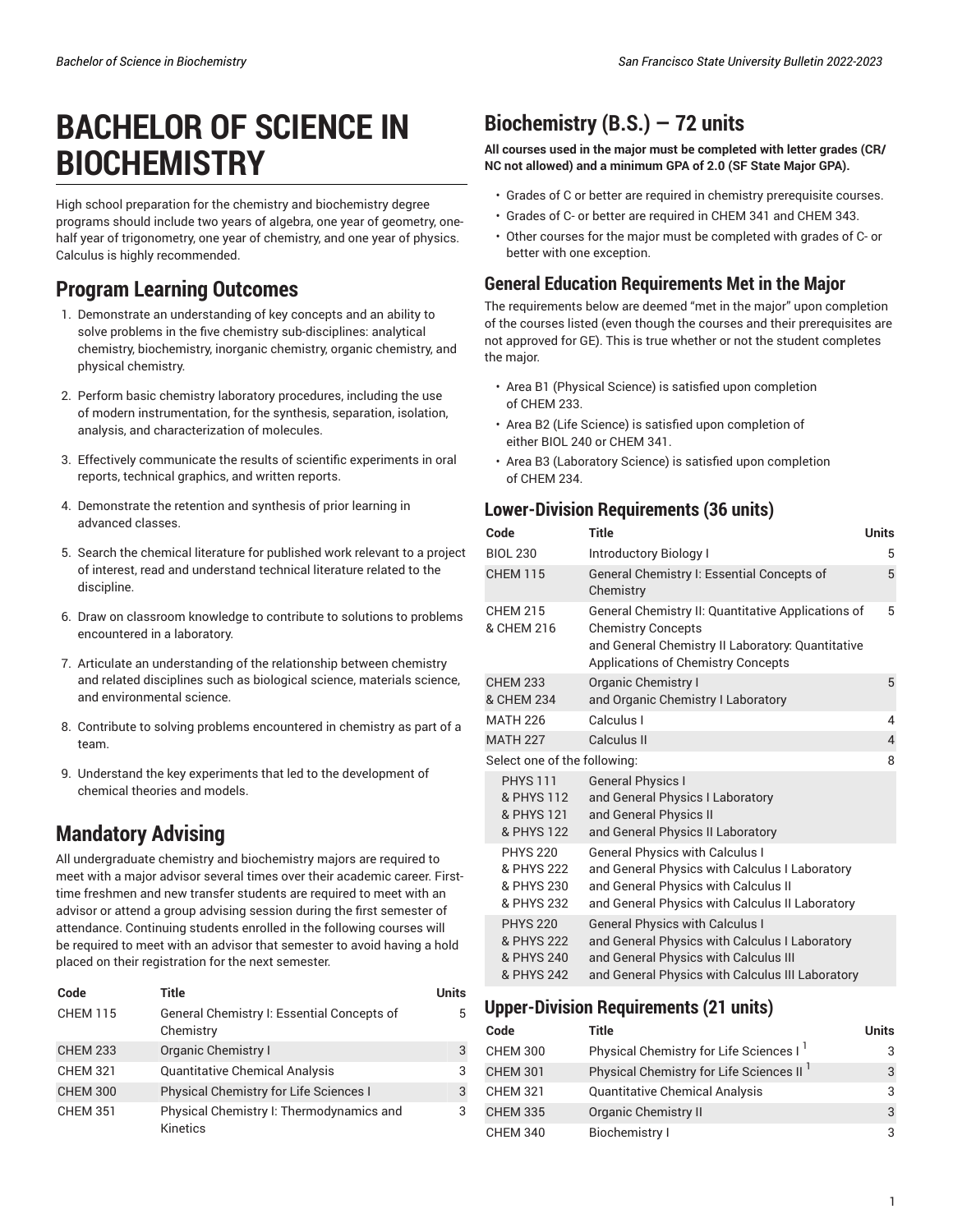# **BACHELOR OF SCIENCE IN BIOCHEMISTRY**

High school preparation for the chemistry and biochemistry degree programs should include two years of algebra, one year of geometry, onehalf year of trigonometry, one year of chemistry, and one year of physics. Calculus is highly recommended.

## **Program Learning Outcomes**

- 1. Demonstrate an understanding of key concepts and an ability to solve problems in the five chemistry sub-disciplines: analytical chemistry, biochemistry, inorganic chemistry, organic chemistry, and physical chemistry.
- 2. Perform basic chemistry laboratory procedures, including the use of modern instrumentation, for the synthesis, separation, isolation, analysis, and characterization of molecules.
- 3. Effectively communicate the results of scientific experiments in oral reports, technical graphics, and written reports.
- 4. Demonstrate the retention and synthesis of prior learning in advanced classes.
- 5. Search the chemical literature for published work relevant to a project of interest, read and understand technical literature related to the discipline.
- 6. Draw on classroom knowledge to contribute to solutions to problems encountered in a laboratory.
- 7. Articulate an understanding of the relationship between chemistry and related disciplines such as biological science, materials science, and environmental science.
- 8. Contribute to solving problems encountered in chemistry as part of a team.
- 9. Understand the key experiments that led to the development of chemical theories and models.

# **Mandatory Advising**

All undergraduate chemistry and biochemistry majors are required to meet with a major advisor several times over their academic career. Firsttime freshmen and new transfer students are required to meet with an advisor or attend a group advising session during the first semester of attendance. Continuing students enrolled in the following courses will be required to meet with an advisor that semester to avoid having a hold placed on their registration for the next semester.

| Code            | Title                                                   | Units |
|-----------------|---------------------------------------------------------|-------|
| <b>CHEM 115</b> | General Chemistry I: Essential Concepts of<br>Chemistry | 5     |
| <b>CHEM 233</b> | <b>Organic Chemistry I</b>                              | 3     |
| <b>CHEM 321</b> | <b>Quantitative Chemical Analysis</b>                   | 3     |
| <b>CHEM 300</b> | Physical Chemistry for Life Sciences I                  | 3     |
| <b>CHEM 351</b> | Physical Chemistry I: Thermodynamics and<br>Kinetics    | 3     |

# **Biochemistry (B.S.) — 72 units**

**All courses used in the major must be completed with letter grades (CR/ NC not allowed) and a minimum GPA of 2.0 (SF State Major GPA).**

- Grades of C or better are required in chemistry prerequisite courses.
- Grades of C- or better are required in CHEM 341 and CHEM 343.
- Other courses for the major must be completed with grades of C- or better with one exception.

### **General Education Requirements Met in the Major**

The requirements below are deemed "met in the major" upon completion of the courses listed (even though the courses and their prerequisites are not approved for GE). This is true whether or not the student completes the major.

- Area B1 (Physical Science) is satisfied upon completion of CHEM 233.
- Area B2 (Life Science) is satisfied upon completion of either BIOL 240 or CHEM 341.
- Area B3 (Laboratory Science) is satisfied upon completion of CHEM 234.

### **Lower-Division Requirements (36 units)**

| Code                                                      | <b>Title</b>                                                                                                                                                                          | <b>Units</b>   |
|-----------------------------------------------------------|---------------------------------------------------------------------------------------------------------------------------------------------------------------------------------------|----------------|
| <b>BIOL 230</b>                                           | Introductory Biology I                                                                                                                                                                | 5              |
| <b>CHEM 115</b>                                           | General Chemistry I: Essential Concepts of<br>Chemistry                                                                                                                               | 5              |
| <b>CHEM 215</b><br>& CHEM 216                             | General Chemistry II: Quantitative Applications of<br><b>Chemistry Concepts</b><br>and General Chemistry II Laboratory: Quantitative<br><b>Applications of Chemistry Concepts</b>     | 5              |
| <b>CHEM 233</b><br>& CHEM 234                             | <b>Organic Chemistry I</b><br>and Organic Chemistry I Laboratory                                                                                                                      | 5              |
| <b>MATH 226</b>                                           | Calculus I                                                                                                                                                                            | 4              |
| <b>MATH 227</b>                                           | Calculus II                                                                                                                                                                           | $\overline{4}$ |
| Select one of the following:                              |                                                                                                                                                                                       | 8              |
| <b>PHYS 111</b><br>& PHYS 112<br>& PHYS 121<br>& PHYS 122 | <b>General Physics I</b><br>and General Physics I Laboratory<br>and General Physics II<br>and General Physics II Laboratory                                                           |                |
| <b>PHYS 220</b><br>& PHYS 222<br>& PHYS 230<br>& PHYS 232 | <b>General Physics with Calculus I</b><br>and General Physics with Calculus I Laboratory<br>and General Physics with Calculus II<br>and General Physics with Calculus II Laboratory   |                |
| <b>PHYS 220</b><br>& PHYS 222<br>& PHYS 240<br>& PHYS 242 | <b>General Physics with Calculus I</b><br>and General Physics with Calculus I Laboratory<br>and General Physics with Calculus III<br>and General Physics with Calculus III Laboratory |                |

### **Upper-Division Requirements (21 units)**

| Code            | Title                                               | <b>Units</b> |
|-----------------|-----------------------------------------------------|--------------|
| <b>CHEM 300</b> | Physical Chemistry for Life Sciences I <sup>1</sup> | 3            |
| <b>CHEM 301</b> | Physical Chemistry for Life Sciences II             | 3            |
| <b>CHEM 321</b> | <b>Quantitative Chemical Analysis</b>               | 3            |
| <b>CHEM 335</b> | <b>Organic Chemistry II</b>                         | 3            |
| <b>CHEM 340</b> | Biochemistry I                                      | 3            |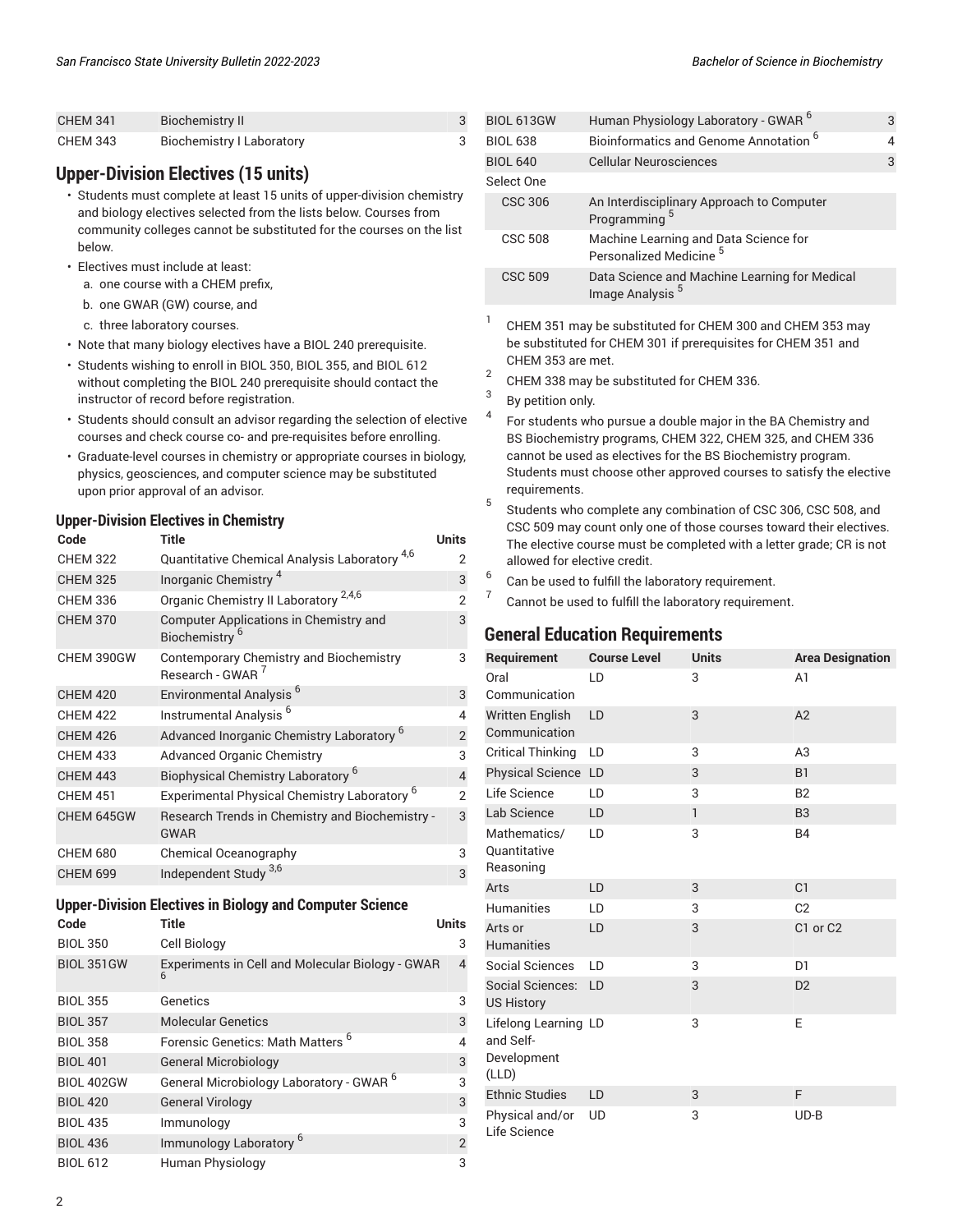| <b>CHEM 341</b> | Biochemistry II                  |  |
|-----------------|----------------------------------|--|
| <b>CHEM 343</b> | <b>Biochemistry I Laboratory</b> |  |

#### **Upper-Division Electives (15 units)**

- Students must complete at least 15 units of upper-division chemistry and biology electives selected from the lists below. Courses from community colleges cannot be substituted for the courses on the list below.
- Electives must include at least:
	- a. one course with a CHEM prefix,
	- b. one GWAR (GW) course, and
	- c. three laboratory courses.
- Note that many biology electives have a BIOL 240 prerequisite.
- Students wishing to enroll in BIOL 350, BIOL 355, and BIOL 612 without completing the BIOL 240 prerequisite should contact the instructor of record before registration.
- Students should consult an advisor regarding the selection of elective courses and check course co- and pre-requisites before enrolling.
- Graduate-level courses in chemistry or appropriate courses in biology, physics, geosciences, and computer science may be substituted upon prior approval of an advisor.

#### **Upper-Division Electives in Chemistry**

| Code            | Title                                                                   | Units          |
|-----------------|-------------------------------------------------------------------------|----------------|
| <b>CHEM 322</b> | Quantitative Chemical Analysis Laboratory <sup>4,6</sup>                | 2              |
| <b>CHEM 325</b> | Inorganic Chemistry <sup>4</sup>                                        | 3              |
| <b>CHEM 336</b> | Organic Chemistry II Laboratory <sup>2,4,6</sup>                        | $\mathcal{P}$  |
| <b>CHEM 370</b> | Computer Applications in Chemistry and<br>Biochemistry <sup>6</sup>     | 3              |
| CHEM 390GW      | Contemporary Chemistry and Biochemistry<br>Research - GWAR <sup>7</sup> | 3              |
| <b>CHEM 420</b> | Environmental Analysis <sup>6</sup>                                     | 3              |
| <b>CHEM 422</b> | Instrumental Analysis <sup>6</sup>                                      | 4              |
| <b>CHEM 426</b> | Advanced Inorganic Chemistry Laboratory <sup>6</sup>                    | $\overline{2}$ |
| <b>CHEM 433</b> | <b>Advanced Organic Chemistry</b>                                       | 3              |
| <b>CHEM 443</b> | Biophysical Chemistry Laboratory <sup>6</sup>                           | $\overline{4}$ |
| <b>CHEM 451</b> | Experimental Physical Chemistry Laboratory <sup>6</sup>                 | $\mathcal{P}$  |
| CHEM 645GW      | Research Trends in Chemistry and Biochemistry -<br><b>GWAR</b>          | 3              |
| <b>CHEM 680</b> | Chemical Oceanography                                                   | 3              |
| <b>CHEM 699</b> | Independent Study <sup>3,6</sup>                                        | 3              |

#### **Upper-Division Electives in Biology and Computer Science**

| Code              | Title                                               | Units          |
|-------------------|-----------------------------------------------------|----------------|
| <b>BIOL 350</b>   | Cell Biology                                        | 3              |
| <b>BIOL 351GW</b> | Experiments in Cell and Molecular Biology - GWAR    | $\overline{4}$ |
| <b>BIOL 355</b>   | Genetics                                            | 3              |
| <b>BIOL 357</b>   | <b>Molecular Genetics</b>                           | 3              |
| <b>BIOL 358</b>   | Forensic Genetics: Math Matters <sup>6</sup>        | 4              |
| <b>BIOL 401</b>   | <b>General Microbiology</b>                         | 3              |
| <b>BIOL 402GW</b> | General Microbiology Laboratory - GWAR <sup>6</sup> | 3              |
| <b>BIOL 420</b>   | <b>General Virology</b>                             | 3              |
| <b>BIOL 435</b>   | Immunology                                          | 3              |
| <b>BIOL 436</b>   | Immunology Laboratory <sup>6</sup>                  | $\overline{2}$ |
| <b>BIOL 612</b>   | Human Physiology                                    | 3              |

| <b>BIOL 613GW</b> | Human Physiology Laboratory - GWAR <sup>6</sup>                              | 3 |
|-------------------|------------------------------------------------------------------------------|---|
| <b>BIOL 638</b>   | Bioinformatics and Genome Annotation <sup>6</sup>                            | 4 |
| <b>BIOL 640</b>   | <b>Cellular Neurosciences</b>                                                | 3 |
| Select One        |                                                                              |   |
| <b>CSC 306</b>    | An Interdisciplinary Approach to Computer<br>Programming <sup>5</sup>        |   |
| <b>CSC 508</b>    | Machine Learning and Data Science for<br>Personalized Medicine <sup>5</sup>  |   |
| <b>CSC 509</b>    | Data Science and Machine Learning for Medical<br>Image Analysis <sup>5</sup> |   |
|                   |                                                                              |   |

- 1 CHEM 351 may be substituted for CHEM 300 and CHEM 353 may be substituted for CHEM 301 if prerequisites for CHEM 351 and CHEM 353 are met.
- 2 CHEM 338 may be substituted for CHEM 336.
- 3 By petition only.
- 4 For students who pursue a double major in the BA Chemistry and BS Biochemistry programs, CHEM 322, CHEM 325, and CHEM 336 cannot be used as electives for the BS Biochemistry program. Students must choose other approved courses to satisfy the elective requirements.
- 5 Students who complete any combination of CSC 306, CSC 508, and CSC 509 may count only one of those courses toward their electives. The elective course must be completed with a letter grade; CR is not allowed for elective credit.
- 6 Can be used to fulfill the laboratory requirement.
- 7 Cannot be used to fulfill the laboratory requirement.

#### **General Education Requirements**

| Requirement                                               | <b>Course Level</b> | <b>Units</b> | <b>Area Designation</b>          |
|-----------------------------------------------------------|---------------------|--------------|----------------------------------|
| Oral<br>Communication                                     | LD                  | 3            | A <sub>1</sub>                   |
| Written English<br>Communication                          | LD                  | 3            | A2                               |
| <b>Critical Thinking</b>                                  | LD                  | 3            | A <sub>3</sub>                   |
| Physical Science LD                                       |                     | 3            | <b>B1</b>                        |
| Life Science                                              | LD                  | 3            | <b>B2</b>                        |
| Lab Science                                               | LD                  | $\mathbf{1}$ | B <sub>3</sub>                   |
| Mathematics/<br>Quantitative<br>Reasoning                 | LD                  | 3            | <b>B4</b>                        |
| Arts                                                      | LD                  | 3            | C <sub>1</sub>                   |
| <b>Humanities</b>                                         | LD                  | 3            | C <sub>2</sub>                   |
| Arts or<br><b>Humanities</b>                              | LD                  | 3            | C <sub>1</sub> or C <sub>2</sub> |
| <b>Social Sciences</b>                                    | LD                  | 3            | D <sub>1</sub>                   |
| Social Sciences:<br><b>US History</b>                     | LD                  | 3            | D <sub>2</sub>                   |
| Lifelong Learning LD<br>and Self-<br>Development<br>(LLD) |                     | 3            | E                                |
| <b>Ethnic Studies</b>                                     | LD                  | 3            | F                                |
| Physical and/or<br>Life Science                           | <b>UD</b>           | 3            | $UD-B$                           |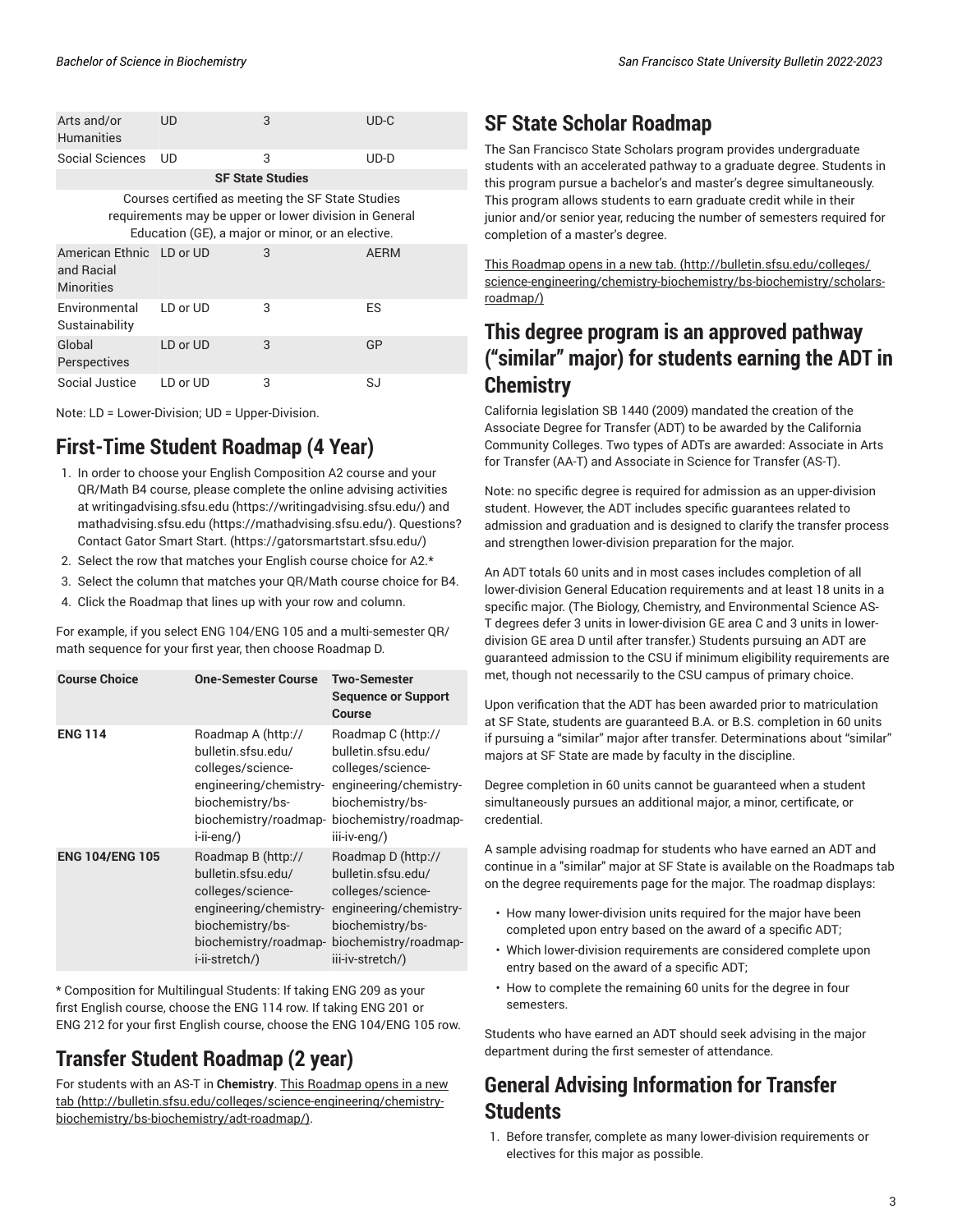| Arts and/or<br><b>Humanities</b>                            | UD                                                                                                                                                               | 3                       | $UD-C$      |
|-------------------------------------------------------------|------------------------------------------------------------------------------------------------------------------------------------------------------------------|-------------------------|-------------|
| Social Sciences                                             | UD                                                                                                                                                               | 3                       | $UD-D$      |
|                                                             |                                                                                                                                                                  | <b>SF State Studies</b> |             |
|                                                             | Courses certified as meeting the SF State Studies<br>requirements may be upper or lower division in General<br>Education (GE), a major or minor, or an elective. |                         |             |
| American Ethnic LD or UD<br>and Racial<br><b>Minorities</b> |                                                                                                                                                                  | 3                       | <b>AERM</b> |
| Environmental<br>Sustainability                             | LD or UD                                                                                                                                                         | 3                       | <b>ES</b>   |
| Global<br>Perspectives                                      | LD or UD                                                                                                                                                         | 3                       | GP          |
| Social Justice                                              | LD or UD                                                                                                                                                         | 3                       | SJ          |

Note: LD = Lower-Division; UD = Upper-Division.

### **First-Time Student Roadmap (4 Year)**

- 1. In order to choose your English Composition A2 course and your QR/Math B4 course, please complete the online advising activities at [writingadvising.sfsu.edu](https://writingadvising.sfsu.edu/) ([https://writingadvising.sfsu.edu/\)](https://writingadvising.sfsu.edu/) and [mathadvising.sfsu.edu](https://mathadvising.sfsu.edu/) ([https://mathadvising.sfsu.edu/\)](https://mathadvising.sfsu.edu/). Questions? Contact Gator [Smart](https://gatorsmartstart.sfsu.edu/) Start. ([https://gatorsmartstart.sfsu.edu/\)](https://gatorsmartstart.sfsu.edu/)
- 2. Select the row that matches your English course choice for A2.\*
- 3. Select the column that matches your QR/Math course choice for B4.
- 4. Click the Roadmap that lines up with your row and column.

For example, if you select ENG 104/ENG 105 and a multi-semester QR/ math sequence for your first year, then choose Roadmap D.

| <b>Course Choice</b>   | <b>One-Semester Course</b>                                                                                                                             | Two-Semester<br><b>Sequence or Support</b><br>Course                                                                                                     |
|------------------------|--------------------------------------------------------------------------------------------------------------------------------------------------------|----------------------------------------------------------------------------------------------------------------------------------------------------------|
| <b>ENG 114</b>         | Roadmap A (http://<br>bulletin.sfsu.edu/<br>colleges/science-<br>engineering/chemistry-<br>biochemistry/bs-<br>biochemistry/roadmap-<br>i-ii-eng/)     | Roadmap C (http://<br>bulletin.sfsu.edu/<br>colleges/science-<br>engineering/chemistry-<br>biochemistry/bs-<br>biochemistry/roadmap-<br>iii-iv-eng/)     |
| <b>ENG 104/ENG 105</b> | Roadmap B (http://<br>bulletin.sfsu.edu/<br>colleges/science-<br>engineering/chemistry-<br>biochemistry/bs-<br>biochemistry/roadmap-<br>i-ii-stretch/) | Roadmap D (http://<br>bulletin.sfsu.edu/<br>colleges/science-<br>engineering/chemistry-<br>biochemistry/bs-<br>biochemistry/roadmap-<br>iii-iv-stretch/) |

\* Composition for Multilingual Students: If taking ENG 209 as your first English course, choose the ENG 114 row. If taking ENG 201 or ENG 212 for your first English course, choose the ENG 104/ENG 105 row.

### **Transfer Student Roadmap (2 year)**

For students with an AS-T in **Chemistry**. [This Roadmap opens in a new](http://bulletin.sfsu.edu/colleges/science-engineering/chemistry-biochemistry/bs-biochemistry/adt-roadmap/) [tab \(http://bulletin.sfsu.edu/colleges/science-engineering/chemistry](http://bulletin.sfsu.edu/colleges/science-engineering/chemistry-biochemistry/bs-biochemistry/adt-roadmap/)[biochemistry/bs-biochemistry/adt-roadmap/\)](http://bulletin.sfsu.edu/colleges/science-engineering/chemistry-biochemistry/bs-biochemistry/adt-roadmap/).

### **SF State Scholar Roadmap**

The San Francisco State Scholars program provides undergraduate students with an accelerated pathway to a graduate degree. Students in this program pursue a bachelor's and master's degree simultaneously. This program allows students to earn graduate credit while in their junior and/or senior year, reducing the number of semesters required for completion of a master's degree.

[This Roadmap opens in a new tab.](http://bulletin.sfsu.edu/colleges/science-engineering/chemistry-biochemistry/bs-biochemistry/scholars-roadmap/) ([http://bulletin.sfsu.edu/colleges/](http://bulletin.sfsu.edu/colleges/science-engineering/chemistry-biochemistry/bs-biochemistry/scholars-roadmap/) [science-engineering/chemistry-biochemistry/bs-biochemistry/scholars](http://bulletin.sfsu.edu/colleges/science-engineering/chemistry-biochemistry/bs-biochemistry/scholars-roadmap/)[roadmap/\)](http://bulletin.sfsu.edu/colleges/science-engineering/chemistry-biochemistry/bs-biochemistry/scholars-roadmap/)

### **This degree program is an approved pathway ("similar" major) for students earning the ADT in Chemistry**

California legislation SB 1440 (2009) mandated the creation of the Associate Degree for Transfer (ADT) to be awarded by the California Community Colleges. Two types of ADTs are awarded: Associate in Arts for Transfer (AA-T) and Associate in Science for Transfer (AS-T).

Note: no specific degree is required for admission as an upper-division student. However, the ADT includes specific guarantees related to admission and graduation and is designed to clarify the transfer process and strengthen lower-division preparation for the major.

An ADT totals 60 units and in most cases includes completion of all lower-division General Education requirements and at least 18 units in a specific major. (The Biology, Chemistry, and Environmental Science AS-T degrees defer 3 units in lower-division GE area C and 3 units in lowerdivision GE area D until after transfer.) Students pursuing an ADT are guaranteed admission to the CSU if minimum eligibility requirements are met, though not necessarily to the CSU campus of primary choice.

Upon verification that the ADT has been awarded prior to matriculation at SF State, students are guaranteed B.A. or B.S. completion in 60 units if pursuing a "similar" major after transfer. Determinations about "similar" majors at SF State are made by faculty in the discipline.

Degree completion in 60 units cannot be guaranteed when a student simultaneously pursues an additional major, a minor, certificate, or credential.

A sample advising roadmap for students who have earned an ADT and continue in a "similar" major at SF State is available on the Roadmaps tab on the degree requirements page for the major. The roadmap displays:

- How many lower-division units required for the major have been completed upon entry based on the award of a specific ADT;
- Which lower-division requirements are considered complete upon entry based on the award of a specific ADT;
- How to complete the remaining 60 units for the degree in four semesters.

Students who have earned an ADT should seek advising in the major department during the first semester of attendance.

### **General Advising Information for Transfer Students**

1. Before transfer, complete as many lower-division requirements or electives for this major as possible.